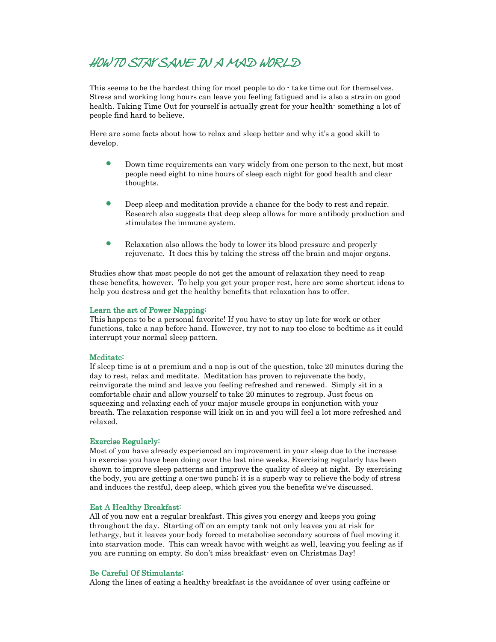# HOW TO STAY SANE IN A MAD WORLD SANE IN MAD WORLD

This seems to be the hardest thing for most people to do  $\cdot$  take time out for themselves. Stress and working long hours can leave you feeling fatigued and is also a strain on good health. Taking Time Out for yourself is actually great for your health- something a lot of people find hard to believe.

Here are some facts about how to relax and sleep better and why it's a good skill to develop.

- Down time requirements can vary widely from one person to the next, but most people need eight to nine hours of sleep each night for good health and clear thoughts.
- Deep sleep and meditation provide a chance for the body to rest and repair. Research also suggests that deep sleep allows for more antibody production and stimulates the immune system.
- Relaxation also allows the body to lower its blood pressure and properly rejuvenate. It does this by taking the stress off the brain and major organs.

Studies show that most people do not get the amount of relaxation they need to reap these benefits, however. To help you get your proper rest, here are some shortcut ideas to help you destress and get the healthy benefits that relaxation has to offer.

### Learn the art of Power Napping:

This happens to be a personal favorite! If you have to stay up late for work or other functions, take a nap before hand. However, try not to nap too close to bedtime as it could interrupt your normal sleep pattern.

### Meditate:

If sleep time is at a premium and a nap is out of the question, take 20 minutes during the day to rest, relax and meditate. Meditation has proven to rejuvenate the body, reinvigorate the mind and leave you feeling refreshed and renewed. Simply sit in a comfortable chair and allow yourself to take 20 minutes to regroup. Just focus on squeezing and relaxing each of your major muscle groups in conjunction with your breath. The relaxation response will kick on in and you will feel a lot more refreshed and relaxed.

#### Exercise Regularly:

Most of you have already experienced an improvement in your sleep due to the increase in exercise you have been doing over the last nine weeks. Exercising regularly has been shown to improve sleep patterns and improve the quality of sleep at night. By exercising the body, you are getting a one-two punch; it is a superb way to relieve the body of stress and induces the restful, deep sleep, which gives you the benefits we've discussed.

## Eat A Healthy Breakfast:

All of you now eat a regular breakfast. This gives you energy and keeps you going throughout the day. Starting off on an empty tank not only leaves you at risk for lethargy, but it leaves your body forced to metabolise secondary sources of fuel moving it into starvation mode. This can wreak havoc with weight as well, leaving you feeling as if you are running on empty. So don't miss breakfast- even on Christmas Day!

#### Be Careful Of Stimulants:

Along the lines of eating a healthy breakfast is the avoidance of over using caffeine or